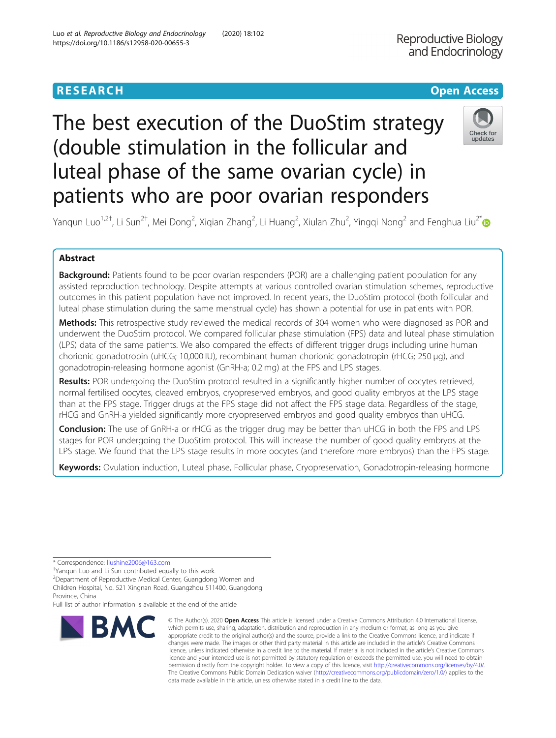# **RESEARCH CHE Open Access**

# The best execution of the DuoStim strategy (double stimulation in the follicular and luteal phase of the same ovarian cycle) in patients who are poor ovarian responders



Yanqun Luo<sup>1,2†</sup>, Li Sun<sup>2†</sup>, Mei Dong<sup>2</sup>, Xiqian Zhang<sup>2</sup>, Li Huang<sup>2</sup>, Xiulan Zhu<sup>2</sup>, Yingqi Nong<sup>2</sup> and Fenghua Liu<sup>2\*</sup>

## Abstract

**Background:** Patients found to be poor ovarian responders (POR) are a challenging patient population for any assisted reproduction technology. Despite attempts at various controlled ovarian stimulation schemes, reproductive outcomes in this patient population have not improved. In recent years, the DuoStim protocol (both follicular and luteal phase stimulation during the same menstrual cycle) has shown a potential for use in patients with POR.

Methods: This retrospective study reviewed the medical records of 304 women who were diagnosed as POR and underwent the DuoStim protocol. We compared follicular phase stimulation (FPS) data and luteal phase stimulation (LPS) data of the same patients. We also compared the effects of different trigger drugs including urine human chorionic gonadotropin (uHCG; 10,000 IU), recombinant human chorionic gonadotropin (rHCG; 250 μg), and gonadotropin-releasing hormone agonist (GnRH-a; 0.2 mg) at the FPS and LPS stages.

Results: POR undergoing the DuoStim protocol resulted in a significantly higher number of oocytes retrieved, normal fertilised oocytes, cleaved embryos, cryopreserved embryos, and good quality embryos at the LPS stage than at the FPS stage. Trigger drugs at the FPS stage did not affect the FPS stage data. Regardless of the stage, rHCG and GnRH-a yielded significantly more cryopreserved embryos and good quality embryos than uHCG.

**Conclusion:** The use of GnRH-a or rHCG as the trigger drug may be better than uHCG in both the FPS and LPS stages for POR undergoing the DuoStim protocol. This will increase the number of good quality embryos at the LPS stage. We found that the LPS stage results in more oocytes (and therefore more embryos) than the FPS stage.

Keywords: Ovulation induction, Luteal phase, Follicular phase, Cryopreservation, Gonadotropin-releasing hormone

\* Correspondence: [liushine2006@163.com](mailto:liushine2006@163.com) †

Yanqun Luo and Li Sun contributed equally to this work.

Full list of author information is available at the end of the article



<sup>©</sup> The Author(s), 2020 **Open Access** This article is licensed under a Creative Commons Attribution 4.0 International License, which permits use, sharing, adaptation, distribution and reproduction in any medium or format, as long as you give appropriate credit to the original author(s) and the source, provide a link to the Creative Commons licence, and indicate if changes were made. The images or other third party material in this article are included in the article's Creative Commons licence, unless indicated otherwise in a credit line to the material. If material is not included in the article's Creative Commons licence and your intended use is not permitted by statutory regulation or exceeds the permitted use, you will need to obtain permission directly from the copyright holder. To view a copy of this licence, visit [http://creativecommons.org/licenses/by/4.0/.](http://creativecommons.org/licenses/by/4.0/) The Creative Commons Public Domain Dedication waiver [\(http://creativecommons.org/publicdomain/zero/1.0/](http://creativecommons.org/publicdomain/zero/1.0/)) applies to the data made available in this article, unless otherwise stated in a credit line to the data.

<sup>&</sup>lt;sup>2</sup>Department of Reproductive Medical Center, Guangdong Women and Children Hospital, No. 521 Xingnan Road, Guangzhou 511400, Guangdong Province, China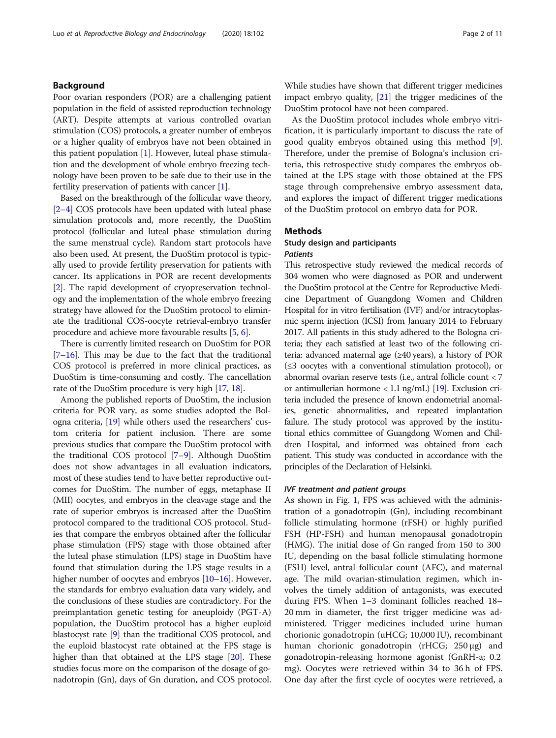#### Background

Poor ovarian responders (POR) are a challenging patient population in the field of assisted reproduction technology (ART). Despite attempts at various controlled ovarian stimulation (COS) protocols, a greater number of embryos or a higher quality of embryos have not been obtained in this patient population [[1\]](#page-9-0). However, luteal phase stimulation and the development of whole embryo freezing technology have been proven to be safe due to their use in the fertility preservation of patients with cancer [\[1](#page-9-0)].

Based on the breakthrough of the follicular wave theory, [[2](#page-9-0)–[4](#page-9-0)] COS protocols have been updated with luteal phase simulation protocols and, more recently, the DuoStim protocol (follicular and luteal phase stimulation during the same menstrual cycle). Random start protocols have also been used. At present, the DuoStim protocol is typically used to provide fertility preservation for patients with cancer. Its applications in POR are recent developments [[2\]](#page-9-0). The rapid development of cryopreservation technology and the implementation of the whole embryo freezing strategy have allowed for the DuoStim protocol to eliminate the traditional COS-oocyte retrieval-embryo transfer procedure and achieve more favourable results [[5,](#page-9-0) [6](#page-9-0)].

There is currently limited research on DuoStim for POR  $[7-16]$  $[7-16]$  $[7-16]$  $[7-16]$  $[7-16]$ . This may be due to the fact that the traditional COS protocol is preferred in more clinical practices, as DuoStim is time-consuming and costly. The cancellation rate of the DuoStim procedure is very high [\[17](#page-9-0), [18](#page-9-0)].

Among the published reports of DuoStim, the inclusion criteria for POR vary, as some studies adopted the Bologna criteria, [\[19\]](#page-9-0) while others used the researchers' custom criteria for patient inclusion. There are some previous studies that compare the DuoStim protocol with the traditional COS protocol [\[7](#page-9-0)–[9\]](#page-9-0). Although DuoStim does not show advantages in all evaluation indicators, most of these studies tend to have better reproductive outcomes for DuoStim. The number of eggs, metaphase II (MII) oocytes, and embryos in the cleavage stage and the rate of superior embryos is increased after the DuoStim protocol compared to the traditional COS protocol. Studies that compare the embryos obtained after the follicular phase stimulation (FPS) stage with those obtained after the luteal phase stimulation (LPS) stage in DuoStim have found that stimulation during the LPS stage results in a higher number of oocytes and embryos [[10](#page-9-0)–[16\]](#page-9-0). However, the standards for embryo evaluation data vary widely, and the conclusions of these studies are contradictory. For the preimplantation genetic testing for aneuploidy (PGT-A) population, the DuoStim protocol has a higher euploid blastocyst rate [[9\]](#page-9-0) than the traditional COS protocol, and the euploid blastocyst rate obtained at the FPS stage is higher than that obtained at the LPS stage [\[20\]](#page-9-0). These studies focus more on the comparison of the dosage of gonadotropin (Gn), days of Gn duration, and COS protocol. While studies have shown that different trigger medicines impact embryo quality, [\[21](#page-9-0)] the trigger medicines of the DuoStim protocol have not been compared.

As the DuoStim protocol includes whole embryo vitrification, it is particularly important to discuss the rate of good quality embryos obtained using this method [\[9](#page-9-0)]. Therefore, under the premise of Bologna's inclusion criteria, this retrospective study compares the embryos obtained at the LPS stage with those obtained at the FPS stage through comprehensive embryo assessment data, and explores the impact of different trigger medications of the DuoStim protocol on embryo data for POR.

#### Methods

# Study design and participants

### Patients

This retrospective study reviewed the medical records of 304 women who were diagnosed as POR and underwent the DuoStim protocol at the Centre for Reproductive Medicine Department of Guangdong Women and Children Hospital for in vitro fertilisation (IVF) and/or intracytoplasmic sperm injection (ICSI) from January 2014 to February 2017. All patients in this study adhered to the Bologna criteria; they each satisfied at least two of the following criteria: advanced maternal age (≥40 years), a history of POR (≤3 oocytes with a conventional stimulation protocol), or abnormal ovarian reserve tests (i.e., antral follicle count < 7 or antimullerian hormone  $< 1.1$  ng/mL) [[19\]](#page-9-0). Exclusion criteria included the presence of known endometrial anomalies, genetic abnormalities, and repeated implantation failure. The study protocol was approved by the institutional ethics committee of Guangdong Women and Children Hospital, and informed was obtained from each patient. This study was conducted in accordance with the principles of the Declaration of Helsinki.

#### IVF treatment and patient groups

As shown in Fig. [1](#page-2-0), FPS was achieved with the administration of a gonadotropin (Gn), including recombinant follicle stimulating hormone (rFSH) or highly purified FSH (HP-FSH) and human menopausal gonadotropin (HMG). The initial dose of Gn ranged from 150 to 300 IU, depending on the basal follicle stimulating hormone (FSH) level, antral follicular count (AFC), and maternal age. The mild ovarian-stimulation regimen, which involves the timely addition of antagonists, was executed during FPS. When 1–3 dominant follicles reached 18– 20 mm in diameter, the first trigger medicine was administered. Trigger medicines included urine human chorionic gonadotropin (uHCG; 10,000 IU), recombinant human chorionic gonadotropin (rHCG; 250 μg) and gonadotropin-releasing hormone agonist (GnRH-a; 0.2 mg). Oocytes were retrieved within 34 to 36 h of FPS. One day after the first cycle of oocytes were retrieved, a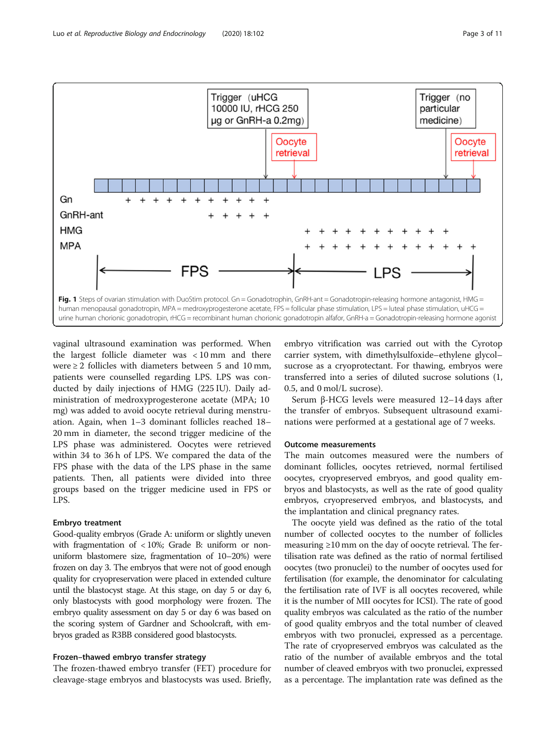<span id="page-2-0"></span>

vaginal ultrasound examination was performed. When the largest follicle diameter was < 10 mm and there were  $\geq 2$  follicles with diameters between 5 and 10 mm, patients were counselled regarding LPS. LPS was conducted by daily injections of HMG (225 IU). Daily administration of medroxyprogesterone acetate (MPA; 10 mg) was added to avoid oocyte retrieval during menstruation. Again, when 1–3 dominant follicles reached 18– 20 mm in diameter, the second trigger medicine of the LPS phase was administered. Oocytes were retrieved within 34 to 36 h of LPS. We compared the data of the FPS phase with the data of the LPS phase in the same patients. Then, all patients were divided into three groups based on the trigger medicine used in FPS or LPS.

#### Embryo treatment

Good-quality embryos (Grade A: uniform or slightly uneven with fragmentation of < 10%; Grade B: uniform or nonuniform blastomere size, fragmentation of 10–20%) were frozen on day 3. The embryos that were not of good enough quality for cryopreservation were placed in extended culture until the blastocyst stage. At this stage, on day 5 or day 6, only blastocysts with good morphology were frozen. The embryo quality assessment on day 5 or day 6 was based on the scoring system of Gardner and Schoolcraft, with embryos graded as R3BB considered good blastocysts.

#### Frozen–thawed embryo transfer strategy

The frozen-thawed embryo transfer (FET) procedure for cleavage-stage embryos and blastocysts was used. Briefly,

embryo vitrification was carried out with the Cyrotop carrier system, with dimethylsulfoxide–ethylene glycol– sucrose as a cryoprotectant. For thawing, embryos were transferred into a series of diluted sucrose solutions (1, 0.5, and 0 mol/L sucrose).

Serum β-HCG levels were measured 12–14 days after the transfer of embryos. Subsequent ultrasound examinations were performed at a gestational age of 7 weeks.

#### Outcome measurements

The main outcomes measured were the numbers of dominant follicles, oocytes retrieved, normal fertilised oocytes, cryopreserved embryos, and good quality embryos and blastocysts, as well as the rate of good quality embryos, cryopreserved embryos, and blastocysts, and the implantation and clinical pregnancy rates.

The oocyte yield was defined as the ratio of the total number of collected oocytes to the number of follicles measuring ≥10 mm on the day of oocyte retrieval. The fertilisation rate was defined as the ratio of normal fertilised oocytes (two pronuclei) to the number of oocytes used for fertilisation (for example, the denominator for calculating the fertilisation rate of IVF is all oocytes recovered, while it is the number of MII oocytes for ICSI). The rate of good quality embryos was calculated as the ratio of the number of good quality embryos and the total number of cleaved embryos with two pronuclei, expressed as a percentage. The rate of cryopreserved embryos was calculated as the ratio of the number of available embryos and the total number of cleaved embryos with two pronuclei, expressed as a percentage. The implantation rate was defined as the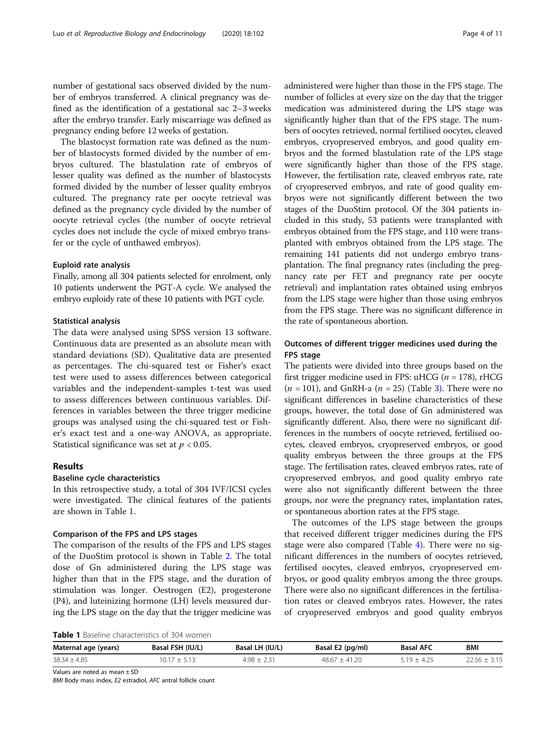number of gestational sacs observed divided by the number of embryos transferred. A clinical pregnancy was defined as the identification of a gestational sac 2–3 weeks after the embryo transfer. Early miscarriage was defined as pregnancy ending before 12 weeks of gestation.

The blastocyst formation rate was defined as the number of blastocysts formed divided by the number of embryos cultured. The blastulation rate of embryos of lesser quality was defined as the number of blastocysts formed divided by the number of lesser quality embryos cultured. The pregnancy rate per oocyte retrieval was defined as the pregnancy cycle divided by the number of oocyte retrieval cycles (the number of oocyte retrieval cycles does not include the cycle of mixed embryo transfer or the cycle of unthawed embryos).

#### Euploid rate analysis

Finally, among all 304 patients selected for enrolment, only 10 patients underwent the PGT-A cycle. We analysed the embryo euploidy rate of these 10 patients with PGT cycle.

#### Statistical analysis

The data were analysed using SPSS version 13 software. Continuous data are presented as an absolute mean with standard deviations (SD). Qualitative data are presented as percentages. The chi-squared test or Fisher's exact test were used to assess differences between categorical variables and the independent-samples t-test was used to assess differences between continuous variables. Differences in variables between the three trigger medicine groups was analysed using the chi-squared test or Fisher's exact test and a one-way ANOVA, as appropriate. Statistical significance was set at  $p < 0.05$ .

#### Results

#### Baseline cycle characteristics

In this retrospective study, a total of 304 IVF/ICSI cycles were investigated. The clinical features of the patients are shown in Table 1.

#### Comparison of the FPS and LPS stages

The comparison of the results of the FPS and LPS stages of the DuoStim protocol is shown in Table [2](#page-4-0). The total dose of Gn administered during the LPS stage was higher than that in the FPS stage, and the duration of stimulation was longer. Oestrogen (E2), progesterone (P4), and luteinizing hormone (LH) levels measured during the LPS stage on the day that the trigger medicine was

administered were higher than those in the FPS stage. The number of follicles at every size on the day that the trigger medication was administered during the LPS stage was significantly higher than that of the FPS stage. The numbers of oocytes retrieved, normal fertilised oocytes, cleaved embryos, cryopreserved embryos, and good quality embryos and the formed blastulation rate of the LPS stage were significantly higher than those of the FPS stage. However, the fertilisation rate, cleaved embryos rate, rate of cryopreserved embryos, and rate of good quality embryos were not significantly different between the two stages of the DuoStim protocol. Of the 304 patients included in this study, 53 patients were transplanted with embryos obtained from the FPS stage, and 110 were transplanted with embryos obtained from the LPS stage. The remaining 141 patients did not undergo embryo transplantation. The final pregnancy rates (including the pregnancy rate per FET and pregnancy rate per oocyte retrieval) and implantation rates obtained using embryos from the LPS stage were higher than those using embryos from the FPS stage. There was no significant difference in the rate of spontaneous abortion.

#### Outcomes of different trigger medicines used during the FPS stage

The patients were divided into three groups based on the first trigger medicine used in FPS: uHCG ( $n = 178$ ), rHCG  $(n = 101)$ , and GnRH-a  $(n = 25)$  (Table [3](#page-5-0)). There were no significant differences in baseline characteristics of these groups, however, the total dose of Gn administered was significantly different. Also, there were no significant differences in the numbers of oocyte retrieved, fertilised oocytes, cleaved embryos, cryopreserved embryos, or good quality embryos between the three groups at the FPS stage. The fertilisation rates, cleaved embryos rates, rate of cryopreserved embryos, and good quality embryo rate were also not significantly different between the three groups, nor were the pregnancy rates, implantation rates, or spontaneous abortion rates at the FPS stage.

The outcomes of the LPS stage between the groups that received different trigger medicines during the FPS stage were also compared (Table [4](#page-6-0)). There were no significant differences in the numbers of oocytes retrieved, fertilised oocytes, cleaved embryos, cryopreserved embryos, or good quality embryos among the three groups. There were also no significant differences in the fertilisation rates or cleaved embryos rates. However, the rates of cryopreserved embryos and good quality embryos

Table 1 Baseline characteristics of 304 women

| Maternal age (years) | Basal FSH (IU/L) | Basal LH (IU/L) | Basal E2 (pg/ml) | <b>Basal AFC</b> | BMI           |
|----------------------|------------------|-----------------|------------------|------------------|---------------|
| $38.34 \pm 4.85$     | $10.17 + 5.13$   | $4.98 + 2.31$   | $48.67 + 41.20$  | $5.19 + 4.25$    | $2.56 + 3.15$ |

Values are noted as mean ± SD

BMI Body mass index, E2 estradiol, AFC antral follicle count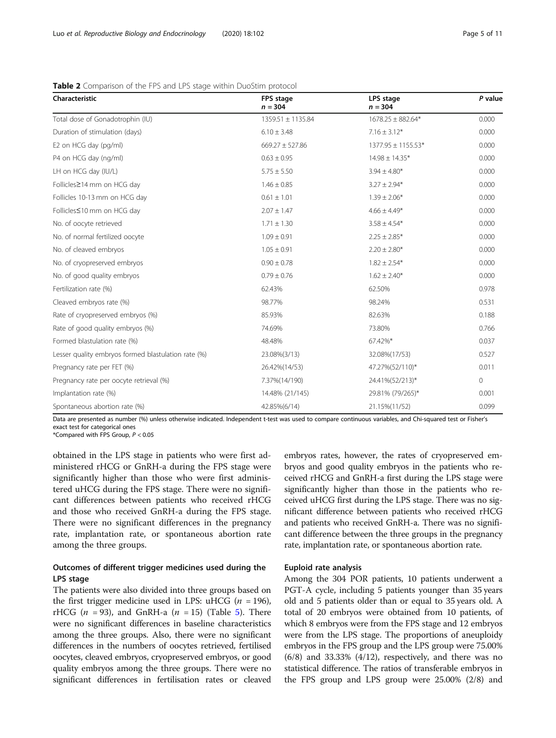| Characteristic                                      | FPS stage<br>$n = 304$ | LPS stage<br>$n = 304$ | P value |
|-----------------------------------------------------|------------------------|------------------------|---------|
| Total dose of Gonadotrophin (IU)                    | $1359.51 \pm 1135.84$  | 1678.25 ± 882.64*      | 0.000   |
| Duration of stimulation (days)                      | $6.10 \pm 3.48$        | $7.16 \pm 3.12*$       | 0.000   |
| E2 on HCG day (pg/ml)                               | $669.27 \pm 527.86$    | 1377.95 ± 1155.53*     | 0.000   |
| P4 on HCG day (ng/ml)                               | $0.63 \pm 0.95$        | $14.98 \pm 14.35*$     | 0.000   |
| LH on HCG day (IU/L)                                | $5.75 \pm 5.50$        | $3.94 \pm 4.80*$       | 0.000   |
| Follicles≥14 mm on HCG day                          | $1.46 \pm 0.85$        | $3.27 \pm 2.94*$       | 0.000   |
| Follicles 10-13 mm on HCG day                       | $0.61 \pm 1.01$        | $1.39 \pm 2.06*$       | 0.000   |
| Follicles≤10 mm on HCG day                          | $2.07 \pm 1.47$        | $4.66 \pm 4.49*$       | 0.000   |
| No. of oocyte retrieved                             | $1.71 \pm 1.30$        | $3.58 \pm 4.54*$       | 0.000   |
| No. of normal fertilized oocyte                     | $1.09 \pm 0.91$        | $2.25 \pm 2.85*$       | 0.000   |
| No. of cleaved embryos                              | $1.05 \pm 0.91$        | $2.20 \pm 2.80*$       | 0.000   |
| No. of cryopreserved embryos                        | $0.90 \pm 0.78$        | $1.82 \pm 2.54*$       | 0.000   |
| No. of good quality embryos                         | $0.79 \pm 0.76$        | $1.62 \pm 2.40*$       | 0.000   |
| Fertilization rate (%)                              | 62.43%                 | 62.50%                 | 0.978   |
| Cleaved embryos rate (%)                            | 98.77%                 | 98.24%                 | 0.531   |
| Rate of cryopreserved embryos (%)                   | 85.93%                 | 82.63%                 | 0.188   |
| Rate of good quality embryos (%)                    | 74.69%                 | 73.80%                 | 0.766   |
| Formed blastulation rate (%)                        | 48.48%                 | 67.42%*                | 0.037   |
| Lesser quality embryos formed blastulation rate (%) | 23.08%(3/13)           | 32.08%(17/53)          | 0.527   |
| Pregnancy rate per FET (%)                          | 26.42%(14/53)          | 47.27%(52/110)*        | 0.011   |
| Pregnancy rate per oocyte retrieval (%)             | 7.37%(14/190)          | 24.41%(52/213)*        | 0       |
| Implantation rate (%)                               | 14.48% (21/145)        | 29.81% (79/265)*       | 0.001   |
| Spontaneous abortion rate (%)                       | 42.85%(6/14)           | 21.15%(11/52)          | 0.099   |

<span id="page-4-0"></span>Table 2 Comparison of the FPS and LPS stage within DuoStim protocol

\*Compared with FPS Group,  $P < 0.05$ 

obtained in the LPS stage in patients who were first administered rHCG or GnRH-a during the FPS stage were significantly higher than those who were first administered uHCG during the FPS stage. There were no significant differences between patients who received rHCG and those who received GnRH-a during the FPS stage. There were no significant differences in the pregnancy rate, implantation rate, or spontaneous abortion rate among the three groups.

#### Outcomes of different trigger medicines used during the LPS stage

The patients were also divided into three groups based on the first trigger medicine used in LPS: uHCG ( $n = 196$ ), rHCG ( $n = 93$ ), and GnRH-a ( $n = 15$ ) (Table [5\)](#page-7-0). There were no significant differences in baseline characteristics among the three groups. Also, there were no significant differences in the numbers of oocytes retrieved, fertilised oocytes, cleaved embryos, cryopreserved embryos, or good quality embryos among the three groups. There were no significant differences in fertilisation rates or cleaved embryos rates, however, the rates of cryopreserved embryos and good quality embryos in the patients who received rHCG and GnRH-a first during the LPS stage were significantly higher than those in the patients who received uHCG first during the LPS stage. There was no significant difference between patients who received rHCG and patients who received GnRH-a. There was no significant difference between the three groups in the pregnancy rate, implantation rate, or spontaneous abortion rate.

#### Euploid rate analysis

Among the 304 POR patients, 10 patients underwent a PGT-A cycle, including 5 patients younger than 35 years old and 5 patients older than or equal to 35 years old. A total of 20 embryos were obtained from 10 patients, of which 8 embryos were from the FPS stage and 12 embryos were from the LPS stage. The proportions of aneuploidy embryos in the FPS group and the LPS group were 75.00%  $(6/8)$  and 33.33%  $(4/12)$ , respectively, and there was no statistical difference. The ratios of transferable embryos in the FPS group and LPS group were 25.00% (2/8) and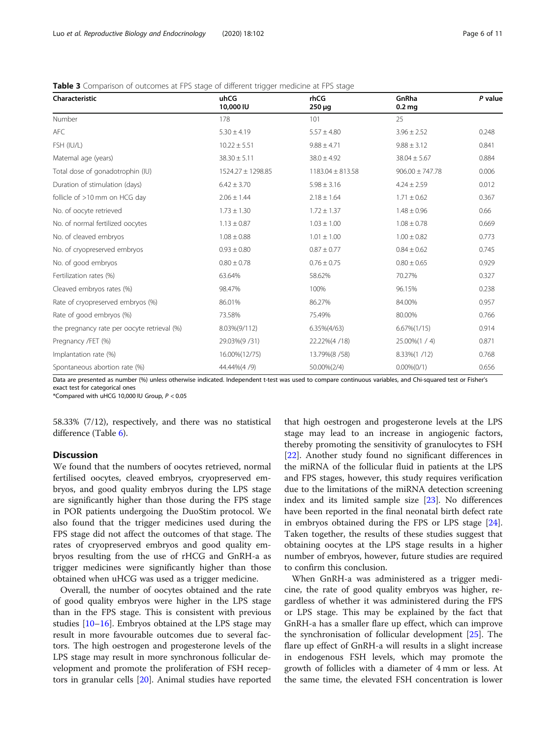| Characteristic                              | uhCG<br>10,000 IU | rhCG<br>$250 \mu q$  | GnRha<br>0.2 <sub>mg</sub> | P value |
|---------------------------------------------|-------------------|----------------------|----------------------------|---------|
| Number                                      | 178               | 101                  | 25                         |         |
| <b>AFC</b>                                  | $5.30 \pm 4.19$   | $5.57 \pm 4.80$      | $3.96 \pm 2.52$            | 0.248   |
| FSH (IU/L)                                  | $10.22 \pm 5.51$  | $9.88 \pm 4.71$      | $9.88 \pm 3.12$            | 0.841   |
| Matemal age (years)                         | $38.30 \pm 5.11$  | $38.0 \pm 4.92$      | $38.04 \pm 5.67$           | 0.884   |
| Total dose of gonadotrophin (IU)            | 1524.27 ± 1298.85 | $1183.04 \pm 813.58$ | $906.00 \pm 747.78$        | 0.006   |
| Duration of stimulation (days)              | $6.42 \pm 3.70$   | $5.98 \pm 3.16$      | $4.24 \pm 2.59$            | 0.012   |
| follicle of >10 mm on HCG day               | $2.06 \pm 1.44$   | $2.18 \pm 1.64$      | $1.71 \pm 0.62$            | 0.367   |
| No. of oocyte retrieved                     | $1.73 \pm 1.30$   | $1.72 \pm 1.37$      | $1.48 \pm 0.96$            | 0.66    |
| No. of normal fertilized oocytes            | $1.13 \pm 0.87$   | $1.03 \pm 1.00$      | $1.08 \pm 0.78$            | 0.669   |
| No. of cleaved embryos                      | $1.08 \pm 0.88$   | $1.01 \pm 1.00$      | $1.00 \pm 0.82$            | 0.773   |
| No. of cryopreserved embryos                | $0.93 \pm 0.80$   | $0.87 \pm 0.77$      | $0.84 \pm 0.62$            | 0.745   |
| No. of good embryos                         | $0.80 \pm 0.78$   | $0.76 \pm 0.75$      | $0.80 \pm 0.65$            | 0.929   |
| Fertilization rates (%)                     | 63.64%            | 58.62%               | 70.27%                     | 0.327   |
| Cleaved embryos rates (%)                   | 98.47%            | 100%                 | 96.15%                     | 0.238   |
| Rate of cryopreserved embryos (%)           | 86.01%            | 86.27%               | 84.00%                     | 0.957   |
| Rate of good embryos (%)                    | 73.58%            | 75.49%               | 80.00%                     | 0.766   |
| the pregnancy rate per oocyte retrieval (%) | 8.03%(9/112)      | $6.35\%(4/63)$       | $6.67\%(1/15)$             | 0.914   |
| Pregnancy /FET (%)                          | 29.03%(9/31)      | 22.22%(4/18)         | 25.00%(1 / 4)              | 0.871   |
| Implantation rate (%)                       | 16.00% (12/75)    | 13.79%(8/58)         | 8.33%(1/12)                | 0.768   |
| Spontaneous abortion rate (%)               | 44.44% (4 /9)     | 50.00%(2/4)          | $0.00\%(0/1)$              | 0.656   |

<span id="page-5-0"></span>Table 3 Comparison of outcomes at FPS stage of different trigger medicine at FPS stage

\*Compared with uHCG 10,000 IU Group, P < 0.05

58.33% (7/12), respectively, and there was no statistical difference (Table [6\)](#page-7-0).

#### Discussion

We found that the numbers of oocytes retrieved, normal fertilised oocytes, cleaved embryos, cryopreserved embryos, and good quality embryos during the LPS stage are significantly higher than those during the FPS stage in POR patients undergoing the DuoStim protocol. We also found that the trigger medicines used during the FPS stage did not affect the outcomes of that stage. The rates of cryopreserved embryos and good quality embryos resulting from the use of rHCG and GnRH-a as trigger medicines were significantly higher than those obtained when uHCG was used as a trigger medicine.

Overall, the number of oocytes obtained and the rate of good quality embryos were higher in the LPS stage than in the FPS stage. This is consistent with previous studies [\[10](#page-9-0)–[16\]](#page-9-0). Embryos obtained at the LPS stage may result in more favourable outcomes due to several factors. The high oestrogen and progesterone levels of the LPS stage may result in more synchronous follicular development and promote the proliferation of FSH receptors in granular cells [[20](#page-9-0)]. Animal studies have reported

that high oestrogen and progesterone levels at the LPS stage may lead to an increase in angiogenic factors, thereby promoting the sensitivity of granulocytes to FSH [[22\]](#page-9-0). Another study found no significant differences in the miRNA of the follicular fluid in patients at the LPS and FPS stages, however, this study requires verification due to the limitations of the miRNA detection screening index and its limited sample size [[23\]](#page-9-0). No differences have been reported in the final neonatal birth defect rate in embryos obtained during the FPS or LPS stage [\[24](#page-9-0)]. Taken together, the results of these studies suggest that obtaining oocytes at the LPS stage results in a higher number of embryos, however, future studies are required to confirm this conclusion.

When GnRH-a was administered as a trigger medicine, the rate of good quality embryos was higher, regardless of whether it was administered during the FPS or LPS stage. This may be explained by the fact that GnRH-a has a smaller flare up effect, which can improve the synchronisation of follicular development [[25\]](#page-9-0). The flare up effect of GnRH-a will results in a slight increase in endogenous FSH levels, which may promote the growth of follicles with a diameter of 4 mm or less. At the same time, the elevated FSH concentration is lower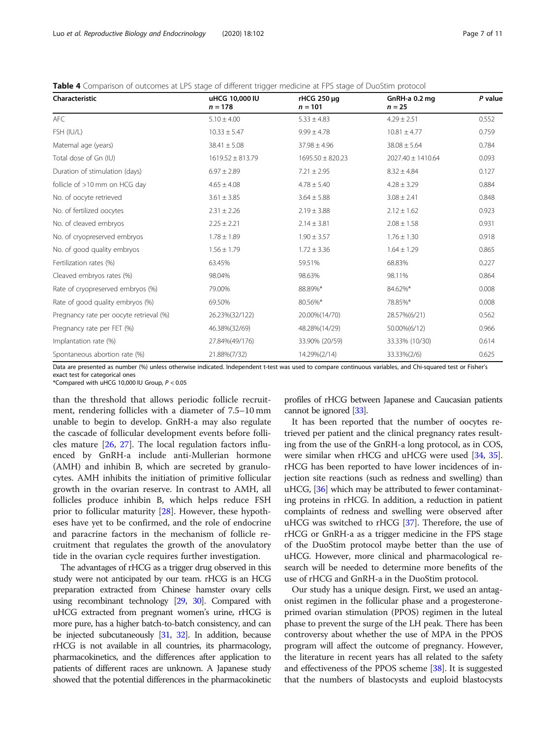<span id="page-6-0"></span>

|  |  |  | <b>Table 4</b> Comparison of outcomes at LPS stage of different trigger medicine at FPS stage of DuoStim protocol |  |
|--|--|--|-------------------------------------------------------------------------------------------------------------------|--|
|  |  |  |                                                                                                                   |  |

| Characteristic                          | uHCG 10,000 IU<br>$n = 178$ | rHCG 250 µg<br>$n = 101$ | GnRH-a 0.2 mg<br>$n = 25$ | P value |
|-----------------------------------------|-----------------------------|--------------------------|---------------------------|---------|
| <b>AFC</b>                              | $5.10 \pm 4.00$             | $5.33 \pm 4.83$          | $4.29 \pm 2.51$           | 0.552   |
| FSH (IU/L)                              | $10.33 \pm 5.47$            | $9.99 \pm 4.78$          | $10.81 \pm 4.77$          | 0.759   |
| Matemal age (years)                     | $38.41 \pm 5.08$            | $37.98 \pm 4.96$         | $38.08 \pm 5.64$          | 0.784   |
| Total dose of Gn (IU)                   | $1619.52 \pm 813.79$        | $1695.50 \pm 820.23$     | 2027.40 ± 1410.64         | 0.093   |
| Duration of stimulation (days)          | $6.97 \pm 2.89$             | $7.21 \pm 2.95$          | $8.32 \pm 4.84$           | 0.127   |
| follicle of >10 mm on HCG day           | $4.65 \pm 4.08$             | $4.78 \pm 5.40$          | $4.28 \pm 3.29$           | 0.884   |
| No. of oocyte retrieved                 | $3.61 \pm 3.85$             | $3.64 \pm 5.88$          | $3.08 \pm 2.41$           | 0.848   |
| No. of fertilized oocytes               | $2.31 \pm 2.26$             | $2.19 \pm 3.88$          | $2.12 \pm 1.62$           | 0.923   |
| No. of cleaved embryos                  | $2.25 \pm 2.21$             | $2.14 \pm 3.81$          | $2.08 \pm 1.58$           | 0.931   |
| No. of cryopreserved embryos            | $1.78 \pm 1.89$             | $1.90 \pm 3.57$          | $1.76 \pm 1.30$           | 0.918   |
| No. of good quality embryos             | $1.56 \pm 1.79$             | $1.72 \pm 3.36$          | $1.64 \pm 1.29$           | 0.865   |
| Fertilization rates (%)                 | 63.45%                      | 59.51%                   | 68.83%                    | 0.227   |
| Cleaved embryos rates (%)               | 98.04%                      | 98.63%                   | 98.11%                    | 0.864   |
| Rate of cryopreserved embryos (%)       | 79.00%                      | 88.89%*                  | 84.62%*                   | 0.008   |
| Rate of good quality embryos (%)        | 69.50%                      | 80.56%*                  | 78.85%*                   | 0.008   |
| Pregnancy rate per oocyte retrieval (%) | 26.23%(32/122)              | 20.00% (14/70)           | 28.57%(6/21)              | 0.562   |
| Pregnancy rate per FET (%)              | 46.38%(32/69)               | 48.28% (14/29)           | 50.00%(6/12)              | 0.966   |
| Implantation rate (%)                   | 27.84%(49/176)              | 33.90% (20/59)           | 33.33% (10/30)            | 0.614   |
| Spontaneous abortion rate (%)           | 21.88%(7/32)                | 14.29%(2/14)             | 33.33%(2/6)               | 0.625   |

\*Compared with uHCG 10,000 IU Group, P < 0.05

than the threshold that allows periodic follicle recruitment, rendering follicles with a diameter of 7.5–10 mm unable to begin to develop. GnRH-a may also regulate the cascade of follicular development events before follicles mature [\[26](#page-9-0), [27](#page-9-0)]. The local regulation factors influenced by GnRH-a include anti-Mullerian hormone (AMH) and inhibin B, which are secreted by granulocytes. AMH inhibits the initiation of primitive follicular growth in the ovarian reserve. In contrast to AMH, all follicles produce inhibin B, which helps reduce FSH prior to follicular maturity [\[28](#page-10-0)]. However, these hypotheses have yet to be confirmed, and the role of endocrine and paracrine factors in the mechanism of follicle recruitment that regulates the growth of the anovulatory tide in the ovarian cycle requires further investigation.

The advantages of rHCG as a trigger drug observed in this study were not anticipated by our team. rHCG is an HCG preparation extracted from Chinese hamster ovary cells using recombinant technology [\[29,](#page-10-0) [30\]](#page-10-0). Compared with uHCG extracted from pregnant women's urine, rHCG is more pure, has a higher batch-to-batch consistency, and can be injected subcutaneously [\[31](#page-10-0), [32](#page-10-0)]. In addition, because rHCG is not available in all countries, its pharmacology, pharmacokinetics, and the differences after application to patients of different races are unknown. A Japanese study showed that the potential differences in the pharmacokinetic

profiles of rHCG between Japanese and Caucasian patients cannot be ignored [\[33](#page-10-0)].

It has been reported that the number of oocytes retrieved per patient and the clinical pregnancy rates resulting from the use of the GnRH-a long protocol, as in COS, were similar when rHCG and uHCG were used [\[34,](#page-10-0) [35](#page-10-0)]. rHCG has been reported to have lower incidences of injection site reactions (such as redness and swelling) than uHCG, [\[36\]](#page-10-0) which may be attributed to fewer contaminating proteins in rHCG. In addition, a reduction in patient complaints of redness and swelling were observed after uHCG was switched to rHCG [\[37](#page-10-0)]. Therefore, the use of rHCG or GnRH-a as a trigger medicine in the FPS stage of the DuoStim protocol maybe better than the use of uHCG. However, more clinical and pharmacological research will be needed to determine more benefits of the use of rHCG and GnRH-a in the DuoStim protocol.

Our study has a unique design. First, we used an antagonist regimen in the follicular phase and a progesteroneprimed ovarian stimulation (PPOS) regimen in the luteal phase to prevent the surge of the LH peak. There has been controversy about whether the use of MPA in the PPOS program will affect the outcome of pregnancy. However, the literature in recent years has all related to the safety and effectiveness of the PPOS scheme [[38](#page-10-0)]. It is suggested that the numbers of blastocysts and euploid blastocysts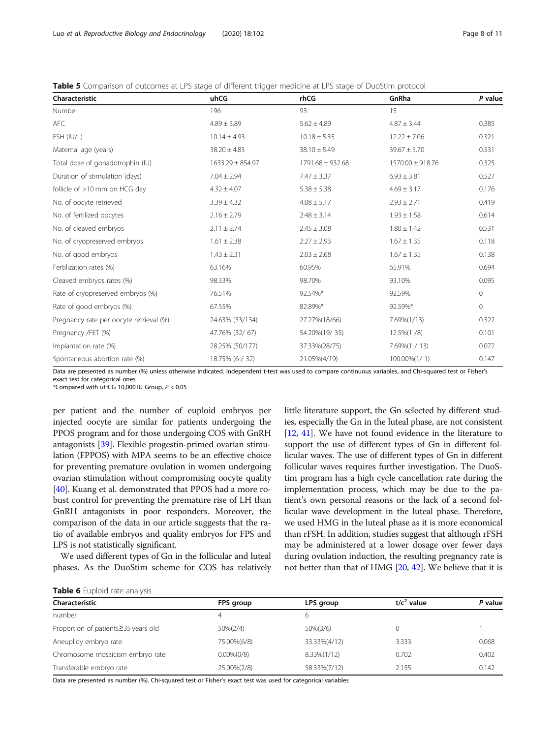<span id="page-7-0"></span>

|  |  |  | Table 5 Comparison of outcomes at LPS stage of different trigger medicine at LPS stage of DuoStim protocol |
|--|--|--|------------------------------------------------------------------------------------------------------------|
|  |  |  |                                                                                                            |

| Characteristic                          | uhCG                 | rhCG             | GnRha             | P value  |
|-----------------------------------------|----------------------|------------------|-------------------|----------|
| Number                                  | 196                  | 93               | 15                |          |
| AFC                                     | $4.89 \pm 3.89$      | $5.62 \pm 4.89$  | $4.87 \pm 3.44$   | 0.385    |
| FSH (IU/L)                              | $10.14 \pm 4.93$     | $10.18 \pm 5.35$ | $12.22 \pm 7.06$  | 0.321    |
| Matemal age (years)                     | $38.20 \pm 4.83$     | $38.10 \pm 5.49$ | $39.67 \pm 5.70$  | 0.531    |
| Total dose of gonadotrophin (IU)        | $1633.29 \pm 854.97$ | 1791.68 ± 932.68 | 1570.00 ± 918.76  | 0.325    |
| Duration of stimulation (days)          | $7.04 \pm 2.94$      | $7.47 \pm 3.37$  | $6.93 \pm 3.81$   | 0.527    |
| follicle of >10 mm on HCG day           | $4.32 \pm 4.07$      | $5.38 \pm 5.38$  | $4.69 \pm 3.17$   | 0.176    |
| No. of oocyte retrieved                 | $3.39 \pm 4.32$      | $4.08 \pm 5.17$  | $2.93 \pm 2.71$   | 0.419    |
| No. of fertilized oocytes               | $2.16 \pm 2.79$      | $2.48 \pm 3.14$  | $1.93 \pm 1.58$   | 0.614    |
| No. of cleaved embryos                  | $2.11 \pm 2.74$      | $2.45 \pm 3.08$  | $1.80 \pm 1.42$   | 0.531    |
| No. of cryopreserved embryos            | $1.61 \pm 2.38$      | $2.27 \pm 2.93$  | $1.67 \pm 1.35$   | 0.118    |
| No. of good embryos                     | $1.43 \pm 2.31$      | $2.03 \pm 2.68$  | $1.67 \pm 1.35$   | 0.138    |
| Fertilization rates (%)                 | 63.16%               | 60.95%           | 65.91%            | 0.694    |
| Cleaved embryos rates (%)               | 98.33%               | 98.70%           | 93.10%            | 0.095    |
| Rate of cryopreserved embryos (%)       | 76.51%               | 92.54%*          | 92.59%            | 0        |
| Rate of good embryos (%)                | 67.55%               | 82.89%*          | 92.59%*           | $\Omega$ |
| Pregnancy rate per oocyte retrieval (%) | 24.63% (33/134)      | 27.27%(18/66)    | 7.69%(1/13)       | 0.322    |
| Pregnancy /FET (%)                      | 47.76% (32/67)       | 54.20%(19/35)    | 12.5% (1/8)       | 0.101    |
| Implantation rate (%)                   | 28.25% (50/177)      | 37.33%(28/75)    | $7.69\% (1 / 13)$ | 0.072    |
| Spontaneous abortion rate (%)           | 18.75% (6 / 32)      | 21.05%(4/19)     | 100.00%(1/1)      | 0.147    |

\*Compared with uHCG 10,000 IU Group,  $P < 0.05$ 

per patient and the number of euploid embryos per injected oocyte are similar for patients undergoing the PPOS program and for those undergoing COS with GnRH antagonists [[39](#page-10-0)]. Flexible progestin-primed ovarian stimulation (FPPOS) with MPA seems to be an effective choice for preventing premature ovulation in women undergoing ovarian stimulation without compromising oocyte quality [[40](#page-10-0)]. Kuang et al. demonstrated that PPOS had a more robust control for preventing the premature rise of LH than GnRH antagonists in poor responders. Moreover, the comparison of the data in our article suggests that the ratio of available embryos and quality embryos for FPS and LPS is not statistically significant.

We used different types of Gn in the follicular and luteal phases. As the DuoStim scheme for COS has relatively little literature support, the Gn selected by different studies, especially the Gn in the luteal phase, are not consistent [[12](#page-9-0), [41\]](#page-10-0). We have not found evidence in the literature to support the use of different types of Gn in different follicular waves. The use of different types of Gn in different follicular waves requires further investigation. The DuoStim program has a high cycle cancellation rate during the implementation process, which may be due to the patient's own personal reasons or the lack of a second follicular wave development in the luteal phase. Therefore, we used HMG in the luteal phase as it is more economical than rFSH. In addition, studies suggest that although rFSH may be administered at a lower dosage over fewer days during ovulation induction, the resulting pregnancy rate is not better than that of HMG [\[20](#page-9-0), [42\]](#page-10-0). We believe that it is

| Table 6 Euploid rate analysis |  |  |
|-------------------------------|--|--|
|-------------------------------|--|--|

| <b>TUDIC O</b> LUDIOR TULE OF RESIDENCE |               |              |               |         |  |  |
|-----------------------------------------|---------------|--------------|---------------|---------|--|--|
| Characteristic                          | FPS group     | LPS group    | $t/c^2$ value | P value |  |  |
| number                                  | 4             | b            |               |         |  |  |
| Proportion of patients≥35 years old     | $50\%(2/4)$   | 50%(3/6)     |               |         |  |  |
| Aneuplidy embryo rate                   | 75.00%(6/8)   | 33.33%(4/12) | 3.333         | 0.068   |  |  |
| Chromosome mosaicism embryo rate        | $0.00\%(0/8)$ | 8.33%(1/12)  | 0.702         | 0.402   |  |  |
| Transferable embryo rate                | 25.00%(2/8)   | 58.33%(7/12) | 2.155         | 0.142   |  |  |

Data are presented as number (%). Chi-squared test or Fisher's exact test was used for categorical variables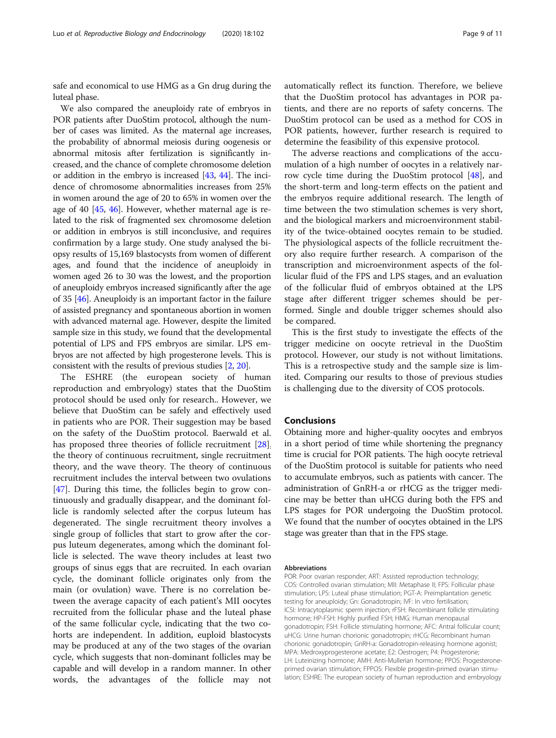safe and economical to use HMG as a Gn drug during the luteal phase.

We also compared the aneuploidy rate of embryos in POR patients after DuoStim protocol, although the number of cases was limited. As the maternal age increases, the probability of abnormal meiosis during oogenesis or abnormal mitosis after fertilization is significantly increased, and the chance of complete chromosome deletion or addition in the embryo is increased [[43](#page-10-0), [44](#page-10-0)]. The incidence of chromosome abnormalities increases from 25% in women around the age of 20 to 65% in women over the age of 40 [\[45](#page-10-0), [46](#page-10-0)]. However, whether maternal age is related to the risk of fragmented sex chromosome deletion or addition in embryos is still inconclusive, and requires confirmation by a large study. One study analysed the biopsy results of 15,169 blastocysts from women of different ages, and found that the incidence of aneuploidy in women aged 26 to 30 was the lowest, and the proportion of aneuploidy embryos increased significantly after the age of 35 [[46](#page-10-0)]. Aneuploidy is an important factor in the failure of assisted pregnancy and spontaneous abortion in women with advanced maternal age. However, despite the limited sample size in this study, we found that the developmental potential of LPS and FPS embryos are similar. LPS embryos are not affected by high progesterone levels. This is consistent with the results of previous studies [\[2,](#page-9-0) [20](#page-9-0)].

The ESHRE (the european society of human reproduction and embryology) states that the DuoStim protocol should be used only for research.. However, we believe that DuoStim can be safely and effectively used in patients who are POR. Their suggestion may be based on the safety of the DuoStim protocol. Baerwald et al. has proposed three theories of follicle recruitment [[28\]](#page-10-0). the theory of continuous recruitment, single recruitment theory, and the wave theory. The theory of continuous recruitment includes the interval between two ovulations [[47\]](#page-10-0). During this time, the follicles begin to grow continuously and gradually disappear, and the dominant follicle is randomly selected after the corpus luteum has degenerated. The single recruitment theory involves a single group of follicles that start to grow after the corpus luteum degenerates, among which the dominant follicle is selected. The wave theory includes at least two groups of sinus eggs that are recruited. In each ovarian cycle, the dominant follicle originates only from the main (or ovulation) wave. There is no correlation between the average capacity of each patient's MII oocytes recruited from the follicular phase and the luteal phase of the same follicular cycle, indicating that the two cohorts are independent. In addition, euploid blastocysts may be produced at any of the two stages of the ovarian cycle, which suggests that non-dominant follicles may be capable and will develop in a random manner. In other words, the advantages of the follicle may not automatically reflect its function. Therefore, we believe that the DuoStim protocol has advantages in POR patients, and there are no reports of safety concerns. The DuoStim protocol can be used as a method for COS in POR patients, however, further research is required to determine the feasibility of this expensive protocol.

The adverse reactions and complications of the accumulation of a high number of oocytes in a relatively narrow cycle time during the DuoStim protocol [[48\]](#page-10-0), and the short-term and long-term effects on the patient and the embryos require additional research. The length of time between the two stimulation schemes is very short, and the biological markers and microenvironment stability of the twice-obtained oocytes remain to be studied. The physiological aspects of the follicle recruitment theory also require further research. A comparison of the transcription and microenvironment aspects of the follicular fluid of the FPS and LPS stages, and an evaluation of the follicular fluid of embryos obtained at the LPS stage after different trigger schemes should be performed. Single and double trigger schemes should also be compared.

This is the first study to investigate the effects of the trigger medicine on oocyte retrieval in the DuoStim protocol. However, our study is not without limitations. This is a retrospective study and the sample size is limited. Comparing our results to those of previous studies is challenging due to the diversity of COS protocols.

#### Conclusions

Obtaining more and higher-quality oocytes and embryos in a short period of time while shortening the pregnancy time is crucial for POR patients. The high oocyte retrieval of the DuoStim protocol is suitable for patients who need to accumulate embryos, such as patients with cancer. The administration of GnRH-a or rHCG as the trigger medicine may be better than uHCG during both the FPS and LPS stages for POR undergoing the DuoStim protocol. We found that the number of oocytes obtained in the LPS stage was greater than that in the FPS stage.

#### Abbreviations

POR: Poor ovarian responder; ART: Assisted reproduction technology; COS: Controlled ovarian stimulation; MII: Metaphase II; FPS: Follicular phase stimulation; LPS: Luteal phase stimulation; PGT-A: Preimplantation genetic testing for aneuploidy; Gn: Gonadotropin; IVF: In vitro fertilisation; ICSI: Intracytoplasmic sperm injection; rFSH: Recombinant follicle stimulating hormone; HP-FSH: Highly purified FSH; HMG: Human menopausal gonadotropin; FSH: Follicle stimulating hormone; AFC: Antral follicular count; uHCG: Urine human chorionic gonadotropin; rHCG: Recombinant human chorionic gonadotropin; GnRH-a: Gonadotropin-releasing hormone agonist; MPA: Medroxyprogesterone acetate; E2: Oestrogen; P4: Progesterone; LH: Luteinizing hormone; AMH: Anti-Mullerian hormone; PPOS: Progesteroneprimed ovarian stimulation; FPPOS: Flexible progestin-primed ovarian stimulation; ESHRE: The european society of human reproduction and embryology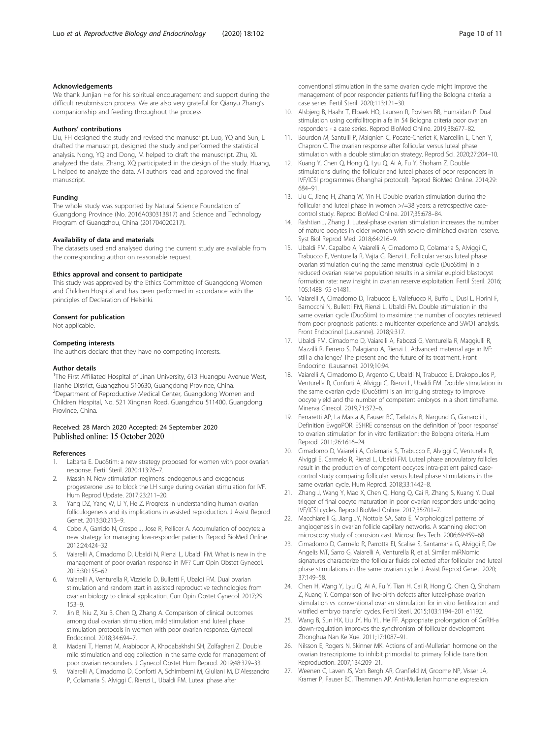#### <span id="page-9-0"></span>Acknowledgements

We thank Junjian He for his spiritual encouragement and support during the difficult resubmission process. We are also very grateful for Qianyu Zhang's companionship and feeding throughout the process.

#### Authors' contributions

Liu, FH designed the study and revised the manuscript. Luo, YQ and Sun, L drafted the manuscript, designed the study and performed the statistical analysis. Nong, YQ and Dong, M helped to draft the manuscript. Zhu, XL analyzed the data. Zhang, XQ participated in the design of the study. Huang, L helped to analyze the data. All authors read and approved the final manuscript.

#### Funding

The whole study was supported by Natural Science Foundation of Guangdong Province (No. 2016A030313817) and Science and Technology Program of Guangzhou, China (201704020217).

#### Availability of data and materials

The datasets used and analysed during the current study are available from the corresponding author on reasonable request.

#### Ethics approval and consent to participate

This study was approved by the Ethics Committee of Guangdong Women and Children Hospital and has been performed in accordance with the principles of Declaration of Helsinki.

#### Consent for publication

Not applicable.

#### Competing interests

The authors declare that they have no competing interests.

#### Author details

<sup>1</sup>The First Affiliated Hospital of Jinan University, 613 Huangpu Avenue West, Tianhe District, Guangzhou 510630, Guangdong Province, China. <sup>2</sup>Department of Reproductive Medical Center, Guangdong Women and Children Hospital, No. 521 Xingnan Road, Guangzhou 511400, Guangdong Province, China.

#### Received: 28 March 2020 Accepted: 24 September 2020 Published online: 15 October 2020

#### References

- Labarta E. DuoStim: a new strategy proposed for women with poor ovarian response. Fertil Steril. 2020;113:76–7.
- 2. Massin N. New stimulation regimens: endogenous and exogenous progesterone use to block the LH surge during ovarian stimulation for IVF. Hum Reprod Update. 2017;23:211–20.
- 3. Yang DZ, Yang W, Li Y, He Z. Progress in understanding human ovarian folliculogenesis and its implications in assisted reproduction. J Assist Reprod Genet. 2013;30:213–9.
- 4. Cobo A, Garrido N, Crespo J, Jose R, Pellicer A. Accumulation of oocytes: a new strategy for managing low-responder patients. Reprod BioMed Online. 2012;24:424–32.
- 5. Vaiarelli A, Cimadomo D, Ubaldi N, Rienzi L, Ubaldi FM. What is new in the management of poor ovarian response in IVF? Curr Opin Obstet Gynecol. 2018;30:155–62.
- 6. Vaiarelli A, Venturella R, Vizziello D, Bulletti F, Ubaldi FM. Dual ovarian stimulation and random start in assisted reproductive technologies: from ovarian biology to clinical application. Curr Opin Obstet Gynecol. 2017;29: 153–9.
- 7. Jin B, Niu Z, Xu B, Chen Q, Zhang A. Comparison of clinical outcomes among dual ovarian stimulation, mild stimulation and luteal phase stimulation protocols in women with poor ovarian response. Gynecol Endocrinol. 2018;34:694–7.
- 8. Madani T, Hemat M, Arabipoor A, Khodabakhshi SH, Zolfaghari Z. Double mild stimulation and egg collection in the same cycle for management of poor ovarian responders. J Gynecol Obstet Hum Reprod. 2019;48:329–33.
- 9. Vaiarelli A, Cimadomo D, Conforti A, Schimberni M, Giuliani M, D'Alessandro P, Colamaria S, Alviggi C, Rienzi L, Ubaldi FM. Luteal phase after
- 10. Alsbjerg B, Haahr T, Elbaek HO, Laursen R, Povlsen BB, Humaidan P. Dual stimulation using corifollitropin alfa in 54 Bologna criteria poor ovarian responders - a case series. Reprod BioMed Online. 2019;38:677–82.
- 11. Bourdon M, Santulli P, Maignien C, Pocate-Cheriet K, Marcellin L, Chen Y, Chapron C. The ovarian response after follicular versus luteal phase stimulation with a double stimulation strategy. Reprod Sci. 2020;27:204–10.
- 12. Kuang Y, Chen Q, Hong Q, Lyu Q, Ai A, Fu Y, Shoham Z. Double stimulations during the follicular and luteal phases of poor responders in IVF/ICSI programmes (Shanghai protocol). Reprod BioMed Online. 2014;29: 684–91.
- 13. Liu C, Jiang H, Zhang W, Yin H. Double ovarian stimulation during the follicular and luteal phase in women >/=38 years: a retrospective casecontrol study. Reprod BioMed Online. 2017;35:678–84.
- 14. Rashtian J, Zhang J. Luteal-phase ovarian stimulation increases the number of mature oocytes in older women with severe diminished ovarian reserve. Syst Biol Reprod Med. 2018;64:216–9.
- 15. Ubaldi FM, Capalbo A, Vaiarelli A, Cimadomo D, Colamaria S, Alviggi C, Trabucco E, Venturella R, Vajta G, Rienzi L. Follicular versus luteal phase ovarian stimulation during the same menstrual cycle (DuoStim) in a reduced ovarian reserve population results in a similar euploid blastocyst formation rate: new insight in ovarian reserve exploitation. Fertil Steril. 2016; 105:1488–95 e1481.
- 16. Vaiarelli A, Cimadomo D, Trabucco E, Vallefuoco R, Buffo L, Dusi L, Fiorini F, Barnocchi N, Bulletti FM, Rienzi L, Ubaldi FM. Double stimulation in the same ovarian cycle (DuoStim) to maximize the number of oocytes retrieved from poor prognosis patients: a multicenter experience and SWOT analysis. Front Endocrinol (Lausanne). 2018;9:317.
- 17. Ubaldi FM, Cimadomo D, Vaiarelli A, Fabozzi G, Venturella R, Maggiulli R, Mazzilli R, Ferrero S, Palagiano A, Rienzi L. Advanced maternal age in IVF: still a challenge? The present and the future of its treatment. Front Endocrinol (Lausanne). 2019;10:94.
- 18. Vaiarelli A, Cimadomo D, Argento C, Ubaldi N, Trabucco E, Drakopoulos P, Venturella R, Conforti A, Alviggi C, Rienzi L, Ubaldi FM. Double stimulation in the same ovarian cycle (DuoStim) is an intriguing strategy to improve oocyte yield and the number of competent embryos in a short timeframe. Minerva Ginecol. 2019;71:372–6.
- 19. Ferraretti AP, La Marca A, Fauser BC, Tarlatzis B, Nargund G, Gianaroli L, Definition EwgoPOR. ESHRE consensus on the definition of 'poor response' to ovarian stimulation for in vitro fertilization: the Bologna criteria. Hum Reprod. 2011;26:1616–24.
- 20. Cimadomo D, Vaiarelli A, Colamaria S, Trabucco E, Alviggi C, Venturella R, Alviggi E, Carmelo R, Rienzi L, Ubaldi FM. Luteal phase anovulatory follicles result in the production of competent oocytes: intra-patient paired casecontrol study comparing follicular versus luteal phase stimulations in the same ovarian cycle. Hum Reprod. 2018;33:1442–8.
- 21. Zhang J, Wang Y, Mao X, Chen Q, Hong Q, Cai R, Zhang S, Kuang Y. Dual trigger of final oocyte maturation in poor ovarian responders undergoing IVF/ICSI cycles. Reprod BioMed Online. 2017;35:701–7.
- 22. Macchiarelli G, Jiang JY, Nottola SA, Sato E. Morphological patterns of angiogenesis in ovarian follicle capillary networks. A scanning electron microscopy study of corrosion cast. Microsc Res Tech. 2006;69:459–68.
- 23. Cimadomo D, Carmelo R, Parrotta EI, Scalise S, Santamaria G, Alviggi E, De Angelis MT, Sarro G, Vaiarelli A, Venturella R, et al. Similar miRNomic signatures characterize the follicular fluids collected after follicular and luteal phase stimulations in the same ovarian cycle. J Assist Reprod Genet. 2020; 37:149–58.
- 24. Chen H, Wang Y, Lyu Q, Ai A, Fu Y, Tian H, Cai R, Hong Q, Chen Q, Shoham Z, Kuang Y. Comparison of live-birth defects after luteal-phase ovarian stimulation vs. conventional ovarian stimulation for in vitro fertilization and vitrified embryo transfer cycles. Fertil Steril. 2015;103:1194–201 e1192.
- 25. Wang B, Sun HX, Liu JY, Hu YL, He FF. Appropriate prolongation of GnRH-a down-regulation improves the synchronism of follicular development. Zhonghua Nan Ke Xue. 2011;17:1087–91.
- 26. Nilsson E, Rogers N, Skinner MK. Actions of anti-Mullerian hormone on the ovarian transcriptome to inhibit primordial to primary follicle transition. Reproduction. 2007;134:209–21.
- 27. Weenen C, Laven JS, Von Bergh AR, Cranfield M, Groome NP, Visser JA, Kramer P, Fauser BC, Themmen AP. Anti-Mullerian hormone expression